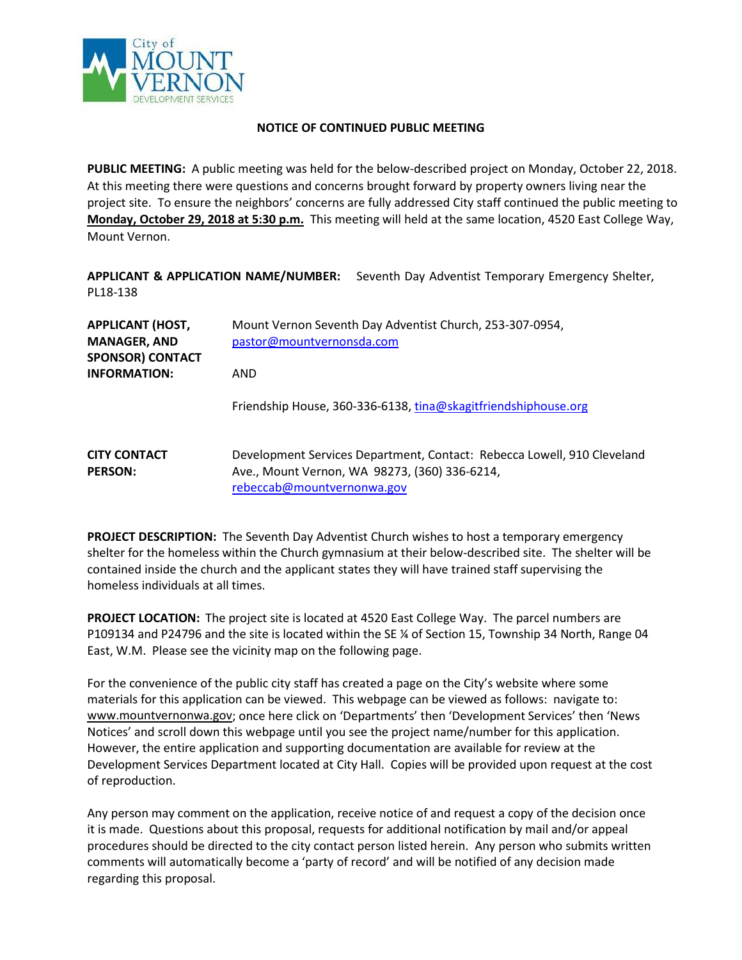

#### **NOTICE OF CONTINUED PUBLIC MEETING**

**PUBLIC MEETING:** A public meeting was held for the below-described project on Monday, October 22, 2018. At this meeting there were questions and concerns brought forward by property owners living near the project site. To ensure the neighbors' concerns are fully addressed City staff continued the public meeting to **Monday, October 29, 2018 at 5:30 p.m.** This meeting will held at the same location, 4520 East College Way, Mount Vernon.

**APPLICANT & APPLICATION NAME/NUMBER:** Seventh Day Adventist Temporary Emergency Shelter, PL18-138

| <b>APPLICANT (HOST,</b><br><b>MANAGER, AND</b><br><b>SPONSOR) CONTACT</b> | Mount Vernon Seventh Day Adventist Church, 253-307-0954,<br>pastor@mountvernonsda.com                                                                  |  |  |
|---------------------------------------------------------------------------|--------------------------------------------------------------------------------------------------------------------------------------------------------|--|--|
| <b>INFORMATION:</b>                                                       | AND                                                                                                                                                    |  |  |
|                                                                           | Friendship House, 360-336-6138, tina@skagitfriendshiphouse.org                                                                                         |  |  |
| <b>CITY CONTACT</b><br><b>PERSON:</b>                                     | Development Services Department, Contact: Rebecca Lowell, 910 Cleveland<br>Ave., Mount Vernon, WA 98273, (360) 336-6214,<br>rebeccab@mountvernonwa.gov |  |  |

**PROJECT DESCRIPTION:** The Seventh Day Adventist Church wishes to host a temporary emergency shelter for the homeless within the Church gymnasium at their below-described site. The shelter will be contained inside the church and the applicant states they will have trained staff supervising the homeless individuals at all times.

**PROJECT LOCATION:** The project site is located at 4520 East College Way. The parcel numbers are P109134 and P24796 and the site is located within the SE % of Section 15, Township 34 North, Range 04 East, W.M. Please see the vicinity map on the following page.

For the convenience of the public city staff has created a page on the City's website where some materials for this application can be viewed. This webpage can be viewed as follows: navigate to: [www.mountvernonwa.gov;](http://www.mountvernonwa.gov/) once here click on 'Departments' then 'Development Services' then 'News Notices' and scroll down this webpage until you see the project name/number for this application. However, the entire application and supporting documentation are available for review at the Development Services Department located at City Hall. Copies will be provided upon request at the cost of reproduction.

Any person may comment on the application, receive notice of and request a copy of the decision once it is made. Questions about this proposal, requests for additional notification by mail and/or appeal procedures should be directed to the city contact person listed herein. Any person who submits written comments will automatically become a 'party of record' and will be notified of any decision made regarding this proposal.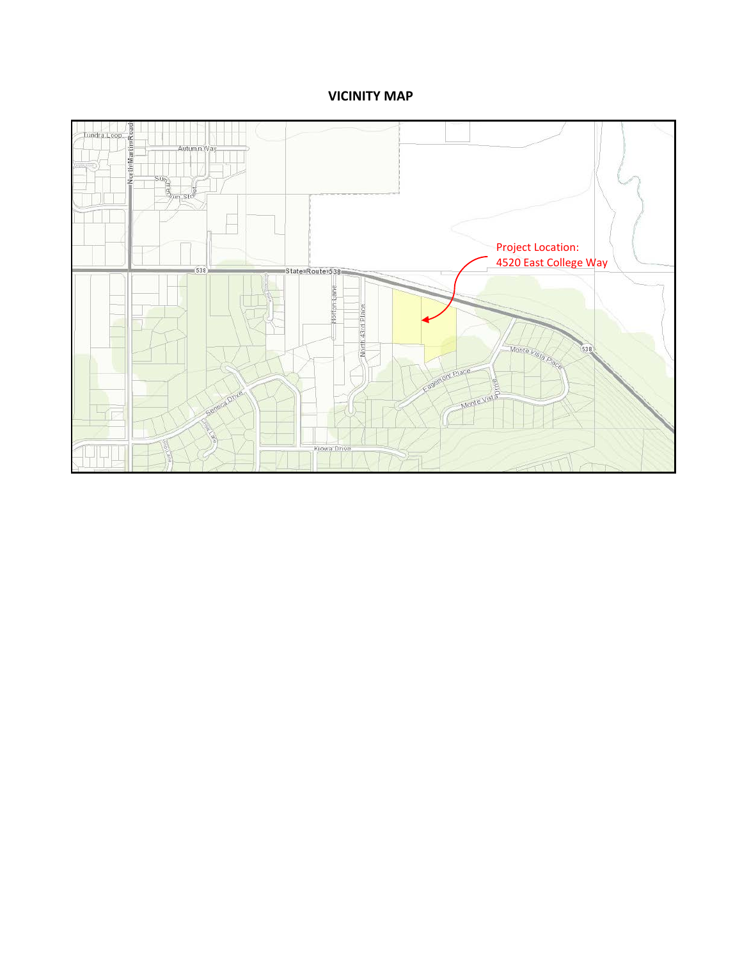# **VICINITY MAP**

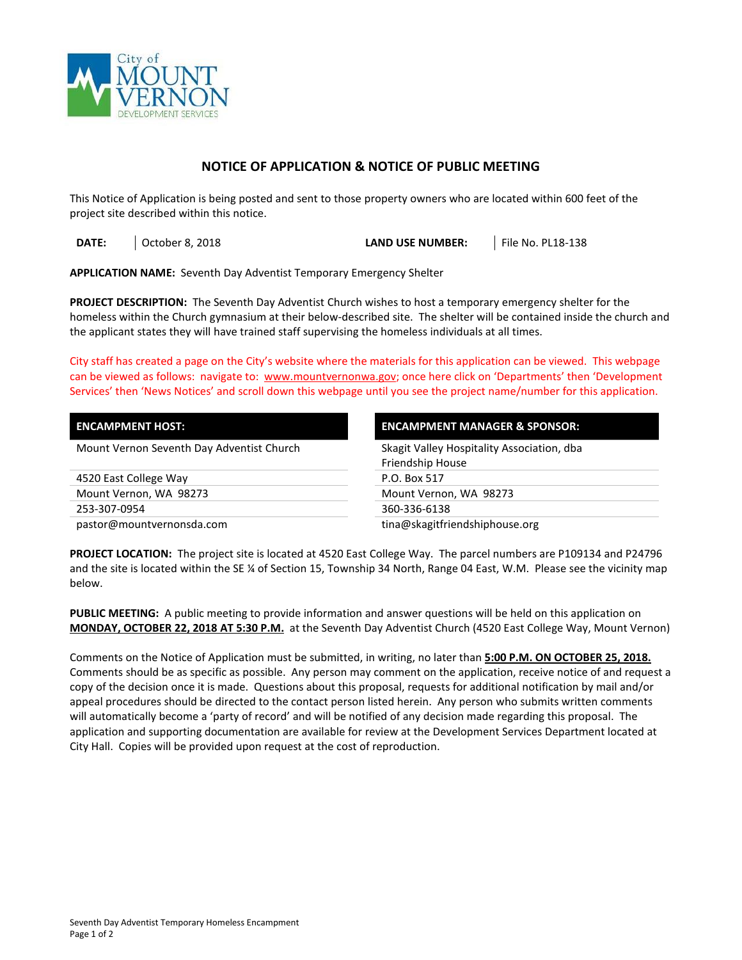

### **NOTICE OF APPLICATION & NOTICE OF PUBLIC MEETING**

This Notice of Application is being posted and sent to those property owners who are located within 600 feet of the project site described within this notice.

**DATE:**  $\begin{array}{|c|c|c|c|c|c|}\n\hline\n\text{October 8, 2018} & \text{October 8, 2018} \\
\hline\n\end{array}$ 

**APPLICATION NAME:** Seventh Day Adventist Temporary Emergency Shelter

**PROJECT DESCRIPTION:** The Seventh Day Adventist Church wishes to host a temporary emergency shelter for the homeless within the Church gymnasium at their below-described site. The shelter will be contained inside the church and the applicant states they will have trained staff supervising the homeless individuals at all times.

City staff has created a page on the City's website where the materials for this application can be viewed. This webpage can be viewed as follows: navigate to: [www.mountvernonwa.gov;](http://www.mountvernonwa.gov/) once here click on 'Departments' then 'Development Services' then 'News Notices' and scroll down this webpage until you see the project name/number for this application.

| <b>ENCAMPMENT HOST:</b>                   | <b>ENCAMPMENT MANAGER &amp; SPONSOR:</b>   |  |
|-------------------------------------------|--------------------------------------------|--|
| Mount Vernon Seventh Day Adventist Church | Skagit Valley Hospitality Association, dba |  |
|                                           | Friendship House                           |  |
| 4520 East College Way                     | P.O. Box 517                               |  |
| Mount Vernon, WA 98273                    | Mount Vernon, WA 98273                     |  |
| 253-307-0954                              | 360-336-6138                               |  |
| pastor@mountvernonsda.com                 | tina@skagitfriendshiphouse.org             |  |

**PROJECT LOCATION:** The project site is located at 4520 East College Way. The parcel numbers are P109134 and P24796 and the site is located within the SE ¼ of Section 15, Township 34 North, Range 04 East, W.M. Please see the vicinity map below.

**PUBLIC MEETING:** A public meeting to provide information and answer questions will be held on this application on **MONDAY, OCTOBER 22, 2018 AT 5:30 P.M.** at the Seventh Day Adventist Church (4520 East College Way, Mount Vernon)

Comments on the Notice of Application must be submitted, in writing, no later than **5:00 P.M. ON OCTOBER 25, 2018.** Comments should be as specific as possible. Any person may comment on the application, receive notice of and request a copy of the decision once it is made. Questions about this proposal, requests for additional notification by mail and/or appeal procedures should be directed to the contact person listed herein. Any person who submits written comments will automatically become a 'party of record' and will be notified of any decision made regarding this proposal.The application and supporting documentation are available for review at the Development Services Department located at City Hall. Copies will be provided upon request at the cost of reproduction.